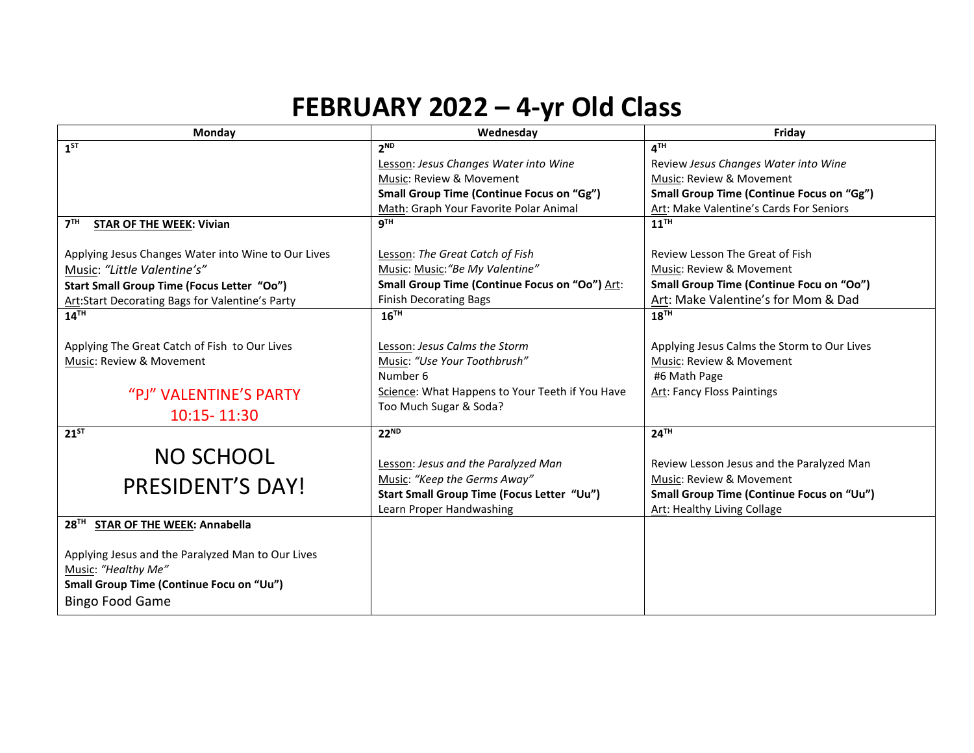## **FEBRUARY 2022 – 4-yr Old Class**

| Monday                                              | Wednesday                                        | Friday                                           |
|-----------------------------------------------------|--------------------------------------------------|--------------------------------------------------|
| $1^{ST}$                                            | 2 <sup>ND</sup>                                  | $\mathbf{A}^{\mathsf{TH}}$                       |
|                                                     | Lesson: Jesus Changes Water into Wine            | Review Jesus Changes Water into Wine             |
|                                                     | Music: Review & Movement                         | Music: Review & Movement                         |
|                                                     | <b>Small Group Time (Continue Focus on "Gg")</b> | <b>Small Group Time (Continue Focus on "Gg")</b> |
|                                                     | Math: Graph Your Favorite Polar Animal           | Art: Make Valentine's Cards For Seniors          |
| 7 <sup>TH</sup><br><b>STAR OF THE WEEK: Vivian</b>  | 9 <sup>TH</sup>                                  | $11$ <sup>TH</sup>                               |
|                                                     |                                                  |                                                  |
| Applying Jesus Changes Water into Wine to Our Lives | Lesson: The Great Catch of Fish                  | Review Lesson The Great of Fish                  |
| Music: "Little Valentine's"                         | Music: Music: "Be My Valentine"                  | Music: Review & Movement                         |
| Start Small Group Time (Focus Letter "Oo")          | Small Group Time (Continue Focus on "Oo") Art:   | Small Group Time (Continue Focu on "Oo")         |
| Art:Start Decorating Bags for Valentine's Party     | <b>Finish Decorating Bags</b>                    | Art: Make Valentine's for Mom & Dad              |
| $14^{\overline{1}\overline{H}}$                     | $16^{TH}$                                        | 18 <sup>TH</sup>                                 |
|                                                     |                                                  |                                                  |
| Applying The Great Catch of Fish to Our Lives       | Lesson: Jesus Calms the Storm                    | Applying Jesus Calms the Storm to Our Lives      |
| Music: Review & Movement                            | Music: "Use Your Toothbrush"                     | Music: Review & Movement                         |
|                                                     | Number 6                                         | #6 Math Page                                     |
| "PJ" VALENTINE'S PARTY                              | Science: What Happens to Your Teeth if You Have  | <b>Art: Fancy Floss Paintings</b>                |
| 10:15 - 11:30                                       | Too Much Sugar & Soda?                           |                                                  |
|                                                     |                                                  |                                                  |
| $21^{5T}$                                           | $22^{ND}$                                        | 24 <sup>TH</sup>                                 |
| <b>NO SCHOOL</b>                                    |                                                  |                                                  |
|                                                     | Lesson: Jesus and the Paralyzed Man              | Review Lesson Jesus and the Paralyzed Man        |
| PRESIDENT'S DAY!                                    | Music: "Keep the Germs Away"                     | Music: Review & Movement                         |
|                                                     | Start Small Group Time (Focus Letter "Uu")       | <b>Small Group Time (Continue Focus on "Uu")</b> |
|                                                     | Learn Proper Handwashing                         | Art: Healthy Living Collage                      |
| 28TH STAR OF THE WEEK: Annabella                    |                                                  |                                                  |
|                                                     |                                                  |                                                  |
| Applying Jesus and the Paralyzed Man to Our Lives   |                                                  |                                                  |
| Music: "Healthy Me"                                 |                                                  |                                                  |
| Small Group Time (Continue Focu on "Uu")            |                                                  |                                                  |
| <b>Bingo Food Game</b>                              |                                                  |                                                  |